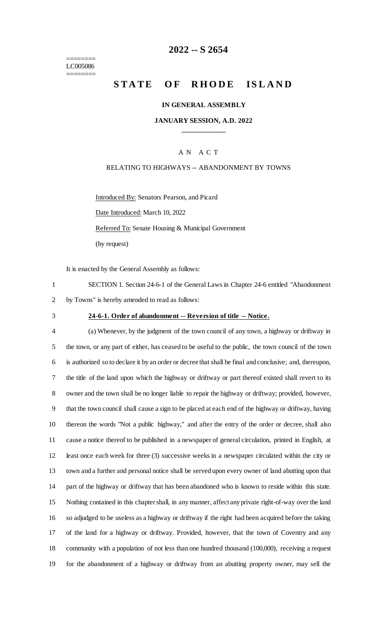======== LC005086 ========

# **2022 -- S 2654**

# **STATE OF RHODE ISLAND**

### **IN GENERAL ASSEMBLY**

### **JANUARY SESSION, A.D. 2022 \_\_\_\_\_\_\_\_\_\_\_\_**

### A N A C T

### RELATING TO HIGHWAYS -- ABANDONMENT BY TOWNS

Introduced By: Senators Pearson, and Picard Date Introduced: March 10, 2022 Referred To: Senate Housing & Municipal Government (by request)

It is enacted by the General Assembly as follows:

1 SECTION 1. Section 24-6-1 of the General Laws in Chapter 24-6 entitled "Abandonment 2 by Towns" is hereby amended to read as follows:

#### 3 **24-6-1. Order of abandonment -- Reversion of title -- Notice.**

 (a) Whenever, by the judgment of the town council of any town, a highway or driftway in the town, or any part of either, has ceased to be useful to the public, the town council of the town is authorized so to declare it by an order or decree that shall be final and conclusive; and, thereupon, the title of the land upon which the highway or driftway or part thereof existed shall revert to its owner and the town shall be no longer liable to repair the highway or driftway; provided, however, that the town council shall cause a sign to be placed at each end of the highway or driftway, having thereon the words "Not a public highway," and after the entry of the order or decree, shall also cause a notice thereof to be published in a newspaper of general circulation, printed in English, at least once each week for three (3) successive weeks in a newspaper circulated within the city or town and a further and personal notice shall be served upon every owner of land abutting upon that part of the highway or driftway that has been abandoned who is known to reside within this state. Nothing contained in this chapter shall, in any manner, affect any private right-of-way over the land so adjudged to be useless as a highway or driftway if the right had been acquired before the taking of the land for a highway or driftway. Provided, however, that the town of Coventry and any community with a population of not less than one hundred thousand (100,000), receiving a request for the abandonment of a highway or driftway from an abutting property owner, may sell the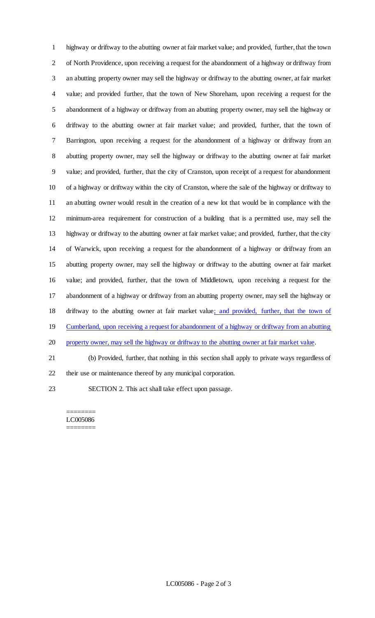highway or driftway to the abutting owner at fair market value; and provided, further, that the town of North Providence, upon receiving a request for the abandonment of a highway or driftway from an abutting property owner may sell the highway or driftway to the abutting owner, at fair market value; and provided further, that the town of New Shoreham, upon receiving a request for the abandonment of a highway or driftway from an abutting property owner, may sell the highway or driftway to the abutting owner at fair market value; and provided, further, that the town of Barrington, upon receiving a request for the abandonment of a highway or driftway from an abutting property owner, may sell the highway or driftway to the abutting owner at fair market value; and provided, further, that the city of Cranston, upon receipt of a request for abandonment of a highway or driftway within the city of Cranston, where the sale of the highway or driftway to an abutting owner would result in the creation of a new lot that would be in compliance with the minimum-area requirement for construction of a building that is a permitted use, may sell the highway or driftway to the abutting owner at fair market value; and provided, further, that the city of Warwick, upon receiving a request for the abandonment of a highway or driftway from an abutting property owner, may sell the highway or driftway to the abutting owner at fair market value; and provided, further, that the town of Middletown, upon receiving a request for the abandonment of a highway or driftway from an abutting property owner, may sell the highway or 18 driftway to the abutting owner at fair market value; and provided, further, that the town of 19 Cumberland, upon receiving a request for abandonment of a highway or driftway from an abutting property owner, may sell the highway or driftway to the abutting owner at fair market value. (b) Provided, further, that nothing in this section shall apply to private ways regardless of their use or maintenance thereof by any municipal corporation.

SECTION 2. This act shall take effect upon passage.

======== LC005086 ========